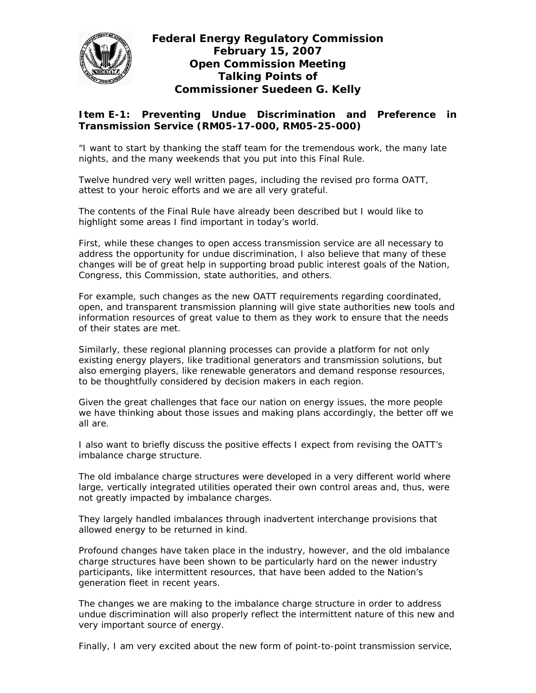

## **Federal Energy Regulatory Commission February 15, 2007 Open Commission Meeting Talking Points of Commissioner Suedeen G. Kelly**

## **Item E-1: Preventing Undue Discrimination and Preference in Transmission Service (RM05-17-000, RM05-25-000)**

"I want to start by thanking the staff team for the tremendous work, the many late nights, and the many weekends that you put into this Final Rule.

Twelve hundred very well written pages, including the revised pro forma OATT, attest to your heroic efforts and we are all very grateful.

The contents of the Final Rule have already been described but I would like to highlight some areas I find important in today's world.

First, while these changes to open access transmission service are all necessary to address the opportunity for undue discrimination, I also believe that many of these changes will be of great help in supporting broad public interest goals of the Nation, Congress, this Commission, state authorities, and others.

For example, such changes as the new OATT requirements regarding coordinated, open, and transparent transmission planning will give state authorities new tools and information resources of great value to them as they work to ensure that the needs of their states are met.

Similarly, these regional planning processes can provide a platform for not only existing energy players, like traditional generators and transmission solutions, but also emerging players, like renewable generators and demand response resources, to be thoughtfully considered by decision makers in each region.

Given the great challenges that face our nation on energy issues, the more people we have thinking about those issues and making plans accordingly, the better off we all are.

I also want to briefly discuss the positive effects I expect from revising the OATT's imbalance charge structure.

The old imbalance charge structures were developed in a very different world where large, vertically integrated utilities operated their own control areas and, thus, were not greatly impacted by imbalance charges.

They largely handled imbalances through inadvertent interchange provisions that allowed energy to be returned in kind.

Profound changes have taken place in the industry, however, and the old imbalance charge structures have been shown to be particularly hard on the newer industry participants, like intermittent resources, that have been added to the Nation's generation fleet in recent years.

The changes we are making to the imbalance charge structure in order to address undue discrimination will also properly reflect the intermittent nature of this new and very important source of energy.

Finally, I am very excited about the new form of point-to-point transmission service,